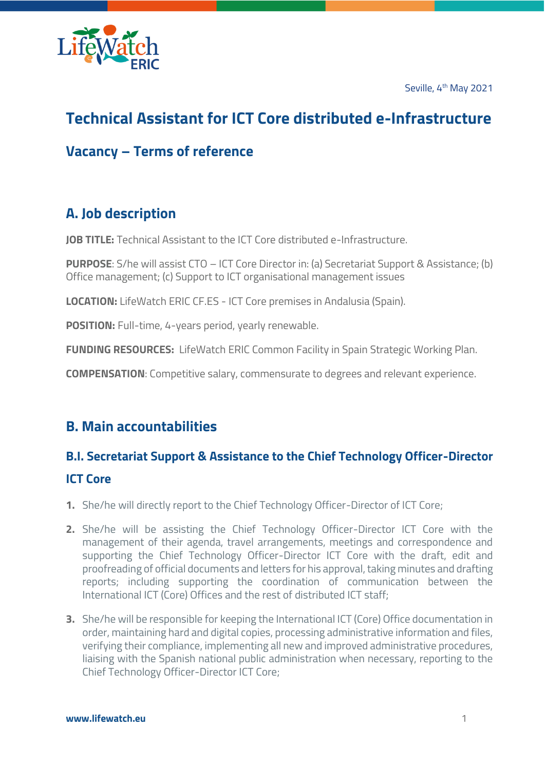Seville, 4<sup>th</sup> May 2021



# **Technical Assistant for ICT Core distributed e-Infrastructure**

### **Vacancy – Terms of reference**

## **A. Job description**

**JOB TITLE:** Technical Assistant to the ICT Core distributed e-Infrastructure.

**PURPOSE**: S/he will assist CTO – ICT Core Director in: (a) Secretariat Support & Assistance; (b) Office management; (c) Support to ICT organisational management issues

**LOCATION:** LifeWatch ERIC CF.ES - ICT Core premises in Andalusia (Spain).

**POSITION:** Full-time, 4-years period, yearly renewable.

**FUNDING RESOURCES:** LifeWatch ERIC Common Facility in Spain Strategic Working Plan.

**COMPENSATION**: Competitive salary, commensurate to degrees and relevant experience.

### **B. Main accountabilities**

# **B.I. Secretariat Support & Assistance to the Chief Technology Officer-Director ICT Core**

- **1.** She/he will directly report to the Chief Technology Officer-Director of ICT Core;
- **2.** She/he will be assisting the Chief Technology Officer-Director ICT Core with the management of their agenda, travel arrangements, meetings and correspondence and supporting the Chief Technology Officer-Director ICT Core with the draft, edit and proofreading of official documents and letters for his approval, taking minutes and drafting reports; including supporting the coordination of communication between the International ICT (Core) Offices and the rest of distributed ICT staff;
- **3.** She/he will be responsible for keeping the International ICT (Core) Office documentation in order, maintaining hard and digital copies, processing administrative information and files, verifying their compliance, implementing all new and improved administrative procedures, liaising with the Spanish national public administration when necessary, reporting to the Chief Technology Officer-Director ICT Core;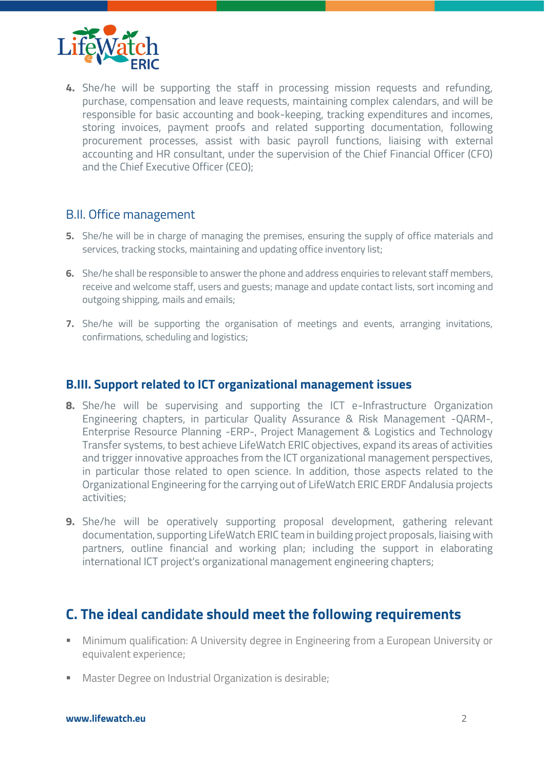

**4.** She/he will be supporting the staff in processing mission requests and refunding, purchase, compensation and leave requests, maintaining complex calendars, and will be responsible for basic accounting and book-keeping, tracking expenditures and incomes, storing invoices, payment proofs and related supporting documentation, following procurement processes, assist with basic payroll functions, liaising with external accounting and HR consultant, under the supervision of the Chief Financial Officer (CFO) and the Chief Executive Officer (CEO);

### B.II. Office management

- **5.** She/he will be in charge of managing the premises, ensuring the supply of office materials and services, tracking stocks, maintaining and updating office inventory list;
- **6.** She/he shall be responsible to answer the phone and address enquiries to relevant staff members, receive and welcome staff, users and guests; manage and update contact lists, sort incoming and outgoing shipping, mails and emails;
- **7.** She/he will be supporting the organisation of meetings and events, arranging invitations, confirmations, scheduling and logistics;

#### **B.III. Support related to ICT organizational management issues**

- **8.** She/he will be supervising and supporting the ICT e-Infrastructure Organization Engineering chapters, in particular Quality Assurance & Risk Management -QARM-, Enterprise Resource Planning -ERP-, Project Management & Logistics and Technology Transfer systems, to best achieve LifeWatch ERIC objectives, expand its areas of activities and trigger innovative approaches from the ICT organizational management perspectives, in particular those related to open science. In addition, those aspects related to the Organizational Engineering for the carrying out of LifeWatch ERIC ERDF Andalusia projects activities;
- **9.** She/he will be operatively supporting proposal development, gathering relevant documentation, supporting LifeWatch ERIC team in building project proposals, liaising with partners, outline financial and working plan; including the support in elaborating international ICT project's organizational management engineering chapters;

### **C. The ideal candidate should meet the following requirements**

- Minimum qualification: A University degree in Engineering from a European University or equivalent experience;
- Master Degree on Industrial Organization is desirable;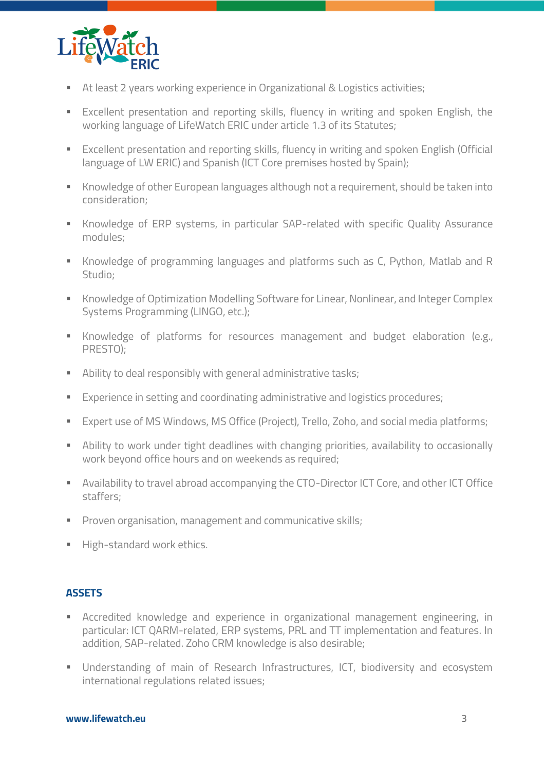

- At least 2 years working experience in Organizational & Logistics activities;
- Excellent presentation and reporting skills, fluency in writing and spoken English, the working language of LifeWatch ERIC under article 1.3 of its Statutes;
- Excellent presentation and reporting skills, fluency in writing and spoken English (Official language of LW ERIC) and Spanish (ICT Core premises hosted by Spain);
- Knowledge of other European languages although not a requirement, should be taken into consideration;
- **EXP** Knowledge of ERP systems, in particular SAP-related with specific Quality Assurance modules;
- Knowledge of programming languages and platforms such as C, Python, Matlab and R Studio;
- Knowledge of Optimization Modelling Software for Linear, Nonlinear, and Integer Complex Systems Programming (LINGO, etc.);
- **EXECT** Knowledge of platforms for resources management and budget elaboration (e.g., PRESTO);
- Ability to deal responsibly with general administrative tasks;
- Experience in setting and coordinating administrative and logistics procedures;
- Expert use of MS Windows, MS Office (Project), Trello, Zoho, and social media platforms;
- **EXT** Ability to work under tight deadlines with changing priorities, availability to occasionally work beyond office hours and on weekends as required;
- **EXECT** Availability to travel abroad accompanying the CTO-Director ICT Core, and other ICT Office staffers;
- **•** Proven organisation, management and communicative skills;
- **■** High-standard work ethics.

#### **ASSETS**

- **EXP** Accredited knowledge and experience in organizational management engineering, in particular: ICT QARM-related, ERP systems, PRL and TT implementation and features. In addition, SAP-related. Zoho CRM knowledge is also desirable;
- **E** Understanding of main of Research Infrastructures, ICT, biodiversity and ecosystem international regulations related issues;